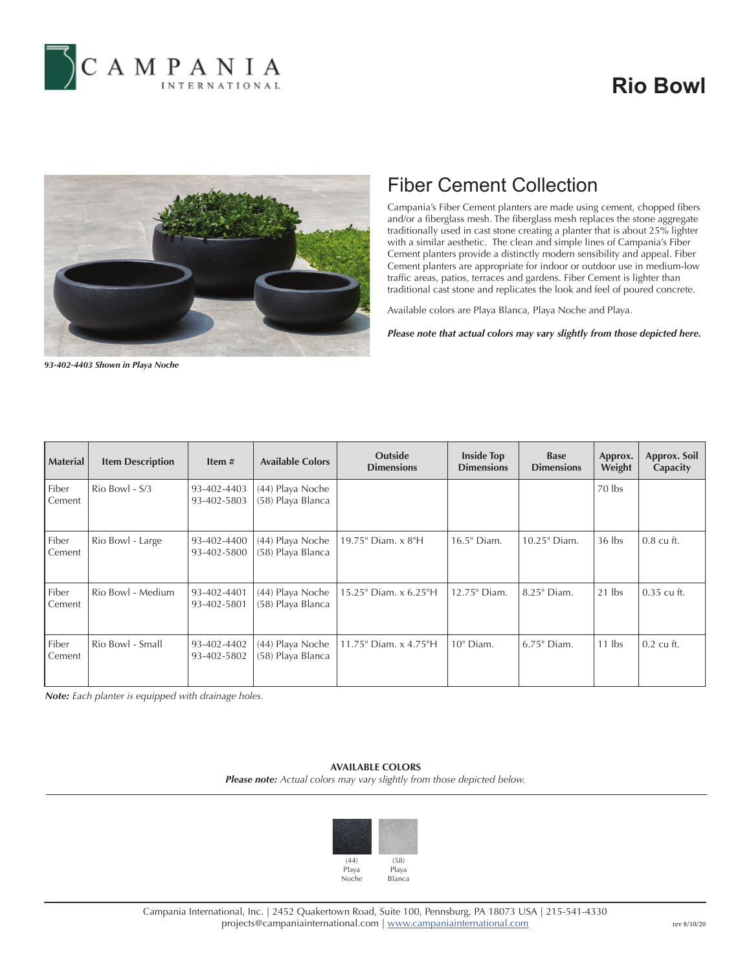

# **Rio Bowl**



### Fiber Cement Collection

Campania's Fiber Cement planters are made using cement, chopped fibers and/or a fiberglass mesh. The fiberglass mesh replaces the stone aggregate traditionally used in cast stone creating a planter that is about 25% lighter with a similar aesthetic. The clean and simple lines of Campania's Fiber Cement planters provide a distinctly modern sensibility and appeal. Fiber Cement planters are appropriate for indoor or outdoor use in medium-low traffic areas, patios, terraces and gardens. Fiber Cement is lighter than traditional cast stone and replicates the look and feel of poured concrete.

Available colors are Playa Blanca, Playa Noche and Playa.

*Please note that actual colors may vary slightly from those depicted here.*

*93-402-4403 Shown in Playa Noche*

| <b>Material</b> | <b>Item Description</b> | Item $#$                   | <b>Available Colors</b>               | <b>Outside</b><br><b>Dimensions</b> | <b>Inside Top</b><br><b>Dimensions</b> | <b>Base</b><br><b>Dimensions</b> | Approx.<br>Weight | Approx. Soil<br>Capacity |
|-----------------|-------------------------|----------------------------|---------------------------------------|-------------------------------------|----------------------------------------|----------------------------------|-------------------|--------------------------|
| Fiber<br>Cement | $\text{Rio}$ Bowl - S/3 | 93-402-4403<br>93-402-5803 | (44) Playa Noche<br>(58) Playa Blanca |                                     |                                        |                                  | 70 lbs            |                          |
| Fiber<br>Cement | Rio Bowl - Large        | 93-402-4400<br>93-402-5800 | (44) Playa Noche<br>(58) Playa Blanca | 19.75" Diam. x 8"H                  | 16.5" Diam.                            | 10.25" Diam.                     | $36$ lbs          | $0.8 \text{ cu}$ ft.     |
| Fiber<br>Cement | Rio Bowl - Medium       | 93-402-4401<br>93-402-5801 | (44) Playa Noche<br>(58) Playa Blanca | 15.25" Diam. x 6.25"H               | 12.75" Diam.                           | 8.25" Diam.                      | $21$ lbs          | $0.35$ cu ft.            |
| Fiber<br>Cement | Rio Bowl - Small        | 93-402-4402<br>93-402-5802 | (44) Playa Noche<br>(58) Playa Blanca | 11.75" Diam. x 4.75"H               | 10" Diam.                              | $6.75$ " Diam.                   | $11$ lbs          | $0.2 \text{ cu ft.}$     |

*Note: Each planter is equipped with drainage holes.*

### **AVAILABLE COLORS** *Please note: Actual colors may vary slightly from those depicted below.*